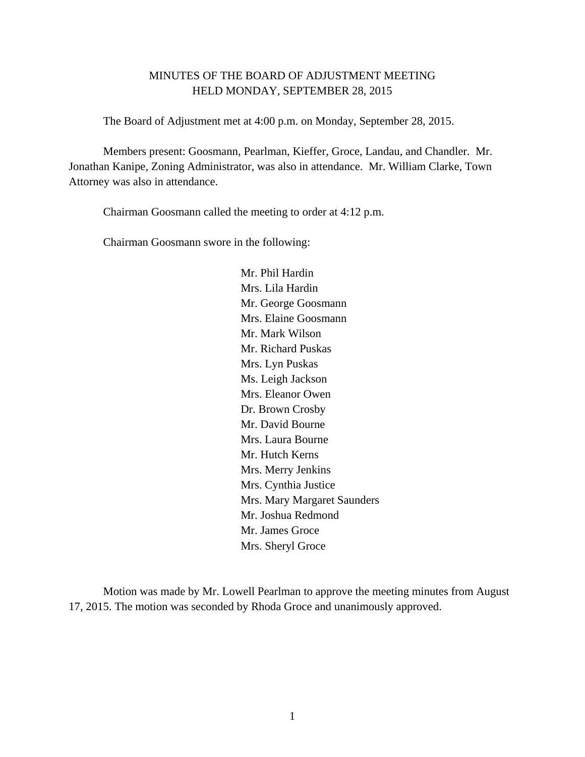# MINUTES OF THE BOARD OF ADJUSTMENT MEETING HELD MONDAY, SEPTEMBER 28, 2015

The Board of Adjustment met at 4:00 p.m. on Monday, September 28, 2015.

Members present: Goosmann, Pearlman, Kieffer, Groce, Landau, and Chandler. Mr. Jonathan Kanipe, Zoning Administrator, was also in attendance. Mr. William Clarke, Town Attorney was also in attendance.

Chairman Goosmann called the meeting to order at 4:12 p.m.

Chairman Goosmann swore in the following:

 Mr. Phil Hardin Mrs. Lila Hardin Mr. George Goosmann Mrs. Elaine Goosmann Mr. Mark Wilson Mr. Richard Puskas Mrs. Lyn Puskas Ms. Leigh Jackson Mrs. Eleanor Owen Dr. Brown Crosby Mr. David Bourne Mrs. Laura Bourne Mr. Hutch Kerns Mrs. Merry Jenkins Mrs. Cynthia Justice Mrs. Mary Margaret Saunders Mr. Joshua Redmond Mr. James Groce Mrs. Sheryl Groce

 Motion was made by Mr. Lowell Pearlman to approve the meeting minutes from August 17, 2015. The motion was seconded by Rhoda Groce and unanimously approved.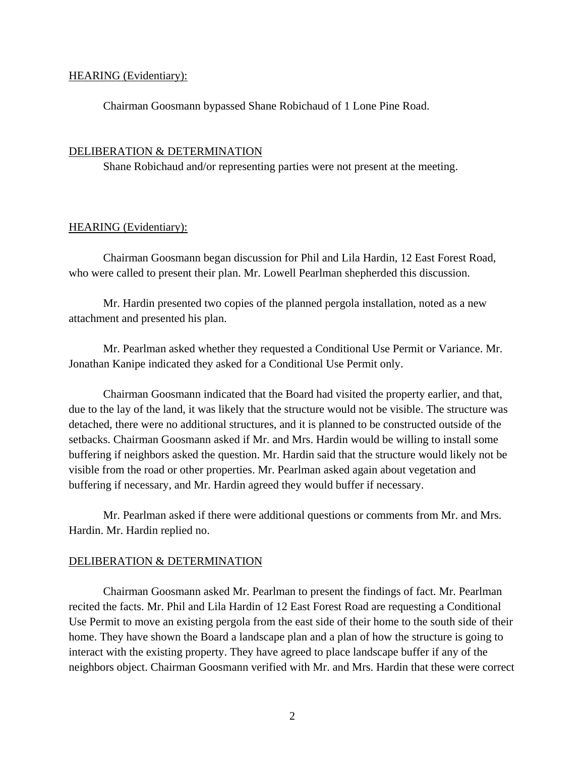## HEARING (Evidentiary):

Chairman Goosmann bypassed Shane Robichaud of 1 Lone Pine Road.

## DELIBERATION & DETERMINATION

Shane Robichaud and/or representing parties were not present at the meeting.

## HEARING (Evidentiary):

 Chairman Goosmann began discussion for Phil and Lila Hardin, 12 East Forest Road, who were called to present their plan. Mr. Lowell Pearlman shepherded this discussion.

 Mr. Hardin presented two copies of the planned pergola installation, noted as a new attachment and presented his plan.

 Mr. Pearlman asked whether they requested a Conditional Use Permit or Variance. Mr. Jonathan Kanipe indicated they asked for a Conditional Use Permit only.

 Chairman Goosmann indicated that the Board had visited the property earlier, and that, due to the lay of the land, it was likely that the structure would not be visible. The structure was detached, there were no additional structures, and it is planned to be constructed outside of the setbacks. Chairman Goosmann asked if Mr. and Mrs. Hardin would be willing to install some buffering if neighbors asked the question. Mr. Hardin said that the structure would likely not be visible from the road or other properties. Mr. Pearlman asked again about vegetation and buffering if necessary, and Mr. Hardin agreed they would buffer if necessary.

 Mr. Pearlman asked if there were additional questions or comments from Mr. and Mrs. Hardin. Mr. Hardin replied no.

## DELIBERATION & DETERMINATION

 Chairman Goosmann asked Mr. Pearlman to present the findings of fact. Mr. Pearlman recited the facts. Mr. Phil and Lila Hardin of 12 East Forest Road are requesting a Conditional Use Permit to move an existing pergola from the east side of their home to the south side of their home. They have shown the Board a landscape plan and a plan of how the structure is going to interact with the existing property. They have agreed to place landscape buffer if any of the neighbors object. Chairman Goosmann verified with Mr. and Mrs. Hardin that these were correct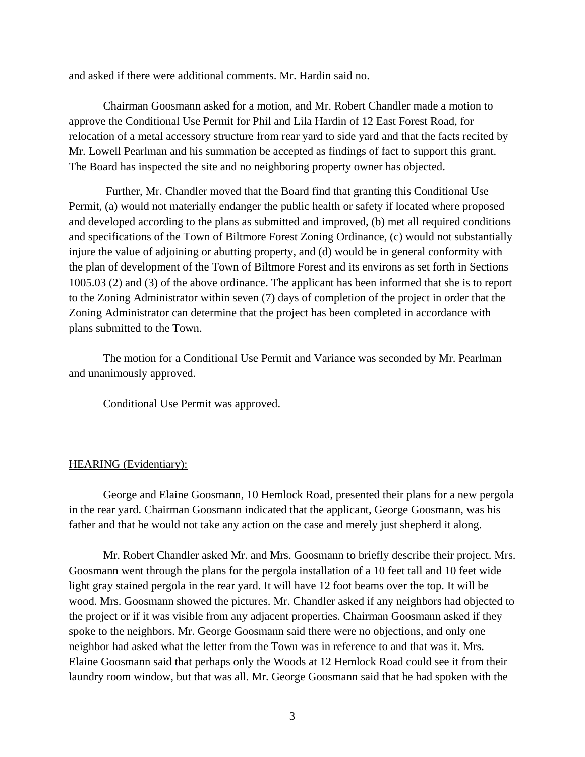and asked if there were additional comments. Mr. Hardin said no.

Chairman Goosmann asked for a motion, and Mr. Robert Chandler made a motion to approve the Conditional Use Permit for Phil and Lila Hardin of 12 East Forest Road, for relocation of a metal accessory structure from rear yard to side yard and that the facts recited by Mr. Lowell Pearlman and his summation be accepted as findings of fact to support this grant. The Board has inspected the site and no neighboring property owner has objected.

 Further, Mr. Chandler moved that the Board find that granting this Conditional Use Permit, (a) would not materially endanger the public health or safety if located where proposed and developed according to the plans as submitted and improved, (b) met all required conditions and specifications of the Town of Biltmore Forest Zoning Ordinance, (c) would not substantially injure the value of adjoining or abutting property, and (d) would be in general conformity with the plan of development of the Town of Biltmore Forest and its environs as set forth in Sections 1005.03 (2) and (3) of the above ordinance. The applicant has been informed that she is to report to the Zoning Administrator within seven (7) days of completion of the project in order that the Zoning Administrator can determine that the project has been completed in accordance with plans submitted to the Town.

The motion for a Conditional Use Permit and Variance was seconded by Mr. Pearlman and unanimously approved.

Conditional Use Permit was approved.

#### HEARING (Evidentiary):

 George and Elaine Goosmann, 10 Hemlock Road, presented their plans for a new pergola in the rear yard. Chairman Goosmann indicated that the applicant, George Goosmann, was his father and that he would not take any action on the case and merely just shepherd it along.

 Mr. Robert Chandler asked Mr. and Mrs. Goosmann to briefly describe their project. Mrs. Goosmann went through the plans for the pergola installation of a 10 feet tall and 10 feet wide light gray stained pergola in the rear yard. It will have 12 foot beams over the top. It will be wood. Mrs. Goosmann showed the pictures. Mr. Chandler asked if any neighbors had objected to the project or if it was visible from any adjacent properties. Chairman Goosmann asked if they spoke to the neighbors. Mr. George Goosmann said there were no objections, and only one neighbor had asked what the letter from the Town was in reference to and that was it. Mrs. Elaine Goosmann said that perhaps only the Woods at 12 Hemlock Road could see it from their laundry room window, but that was all. Mr. George Goosmann said that he had spoken with the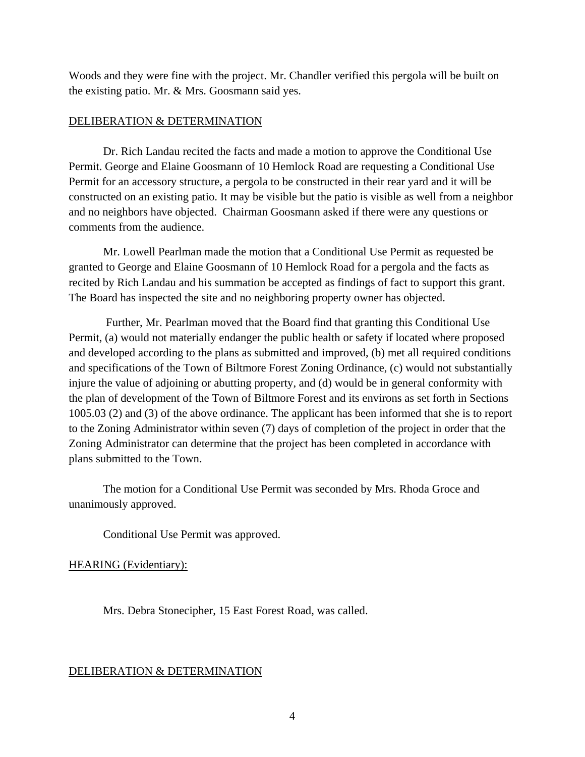Woods and they were fine with the project. Mr. Chandler verified this pergola will be built on the existing patio. Mr. & Mrs. Goosmann said yes.

# DELIBERATION & DETERMINATION

Dr. Rich Landau recited the facts and made a motion to approve the Conditional Use Permit. George and Elaine Goosmann of 10 Hemlock Road are requesting a Conditional Use Permit for an accessory structure, a pergola to be constructed in their rear yard and it will be constructed on an existing patio. It may be visible but the patio is visible as well from a neighbor and no neighbors have objected. Chairman Goosmann asked if there were any questions or comments from the audience.

Mr. Lowell Pearlman made the motion that a Conditional Use Permit as requested be granted to George and Elaine Goosmann of 10 Hemlock Road for a pergola and the facts as recited by Rich Landau and his summation be accepted as findings of fact to support this grant. The Board has inspected the site and no neighboring property owner has objected.

 Further, Mr. Pearlman moved that the Board find that granting this Conditional Use Permit, (a) would not materially endanger the public health or safety if located where proposed and developed according to the plans as submitted and improved, (b) met all required conditions and specifications of the Town of Biltmore Forest Zoning Ordinance, (c) would not substantially injure the value of adjoining or abutting property, and (d) would be in general conformity with the plan of development of the Town of Biltmore Forest and its environs as set forth in Sections 1005.03 (2) and (3) of the above ordinance. The applicant has been informed that she is to report to the Zoning Administrator within seven (7) days of completion of the project in order that the Zoning Administrator can determine that the project has been completed in accordance with plans submitted to the Town.

The motion for a Conditional Use Permit was seconded by Mrs. Rhoda Groce and unanimously approved.

Conditional Use Permit was approved.

HEARING (Evidentiary):

Mrs. Debra Stonecipher, 15 East Forest Road, was called.

## DELIBERATION & DETERMINATION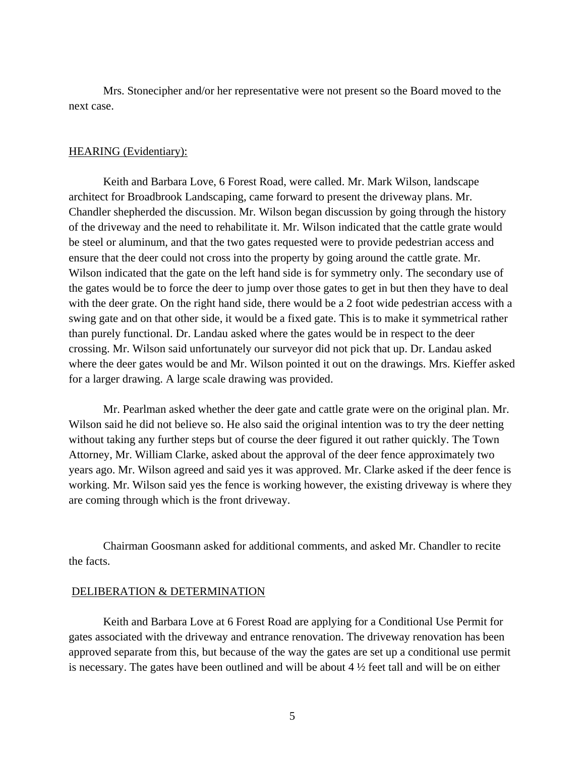Mrs. Stonecipher and/or her representative were not present so the Board moved to the next case.

## HEARING (Evidentiary):

 Keith and Barbara Love, 6 Forest Road, were called. Mr. Mark Wilson, landscape architect for Broadbrook Landscaping, came forward to present the driveway plans. Mr. Chandler shepherded the discussion. Mr. Wilson began discussion by going through the history of the driveway and the need to rehabilitate it. Mr. Wilson indicated that the cattle grate would be steel or aluminum, and that the two gates requested were to provide pedestrian access and ensure that the deer could not cross into the property by going around the cattle grate. Mr. Wilson indicated that the gate on the left hand side is for symmetry only. The secondary use of the gates would be to force the deer to jump over those gates to get in but then they have to deal with the deer grate. On the right hand side, there would be a 2 foot wide pedestrian access with a swing gate and on that other side, it would be a fixed gate. This is to make it symmetrical rather than purely functional. Dr. Landau asked where the gates would be in respect to the deer crossing. Mr. Wilson said unfortunately our surveyor did not pick that up. Dr. Landau asked where the deer gates would be and Mr. Wilson pointed it out on the drawings. Mrs. Kieffer asked for a larger drawing. A large scale drawing was provided.

 Mr. Pearlman asked whether the deer gate and cattle grate were on the original plan. Mr. Wilson said he did not believe so. He also said the original intention was to try the deer netting without taking any further steps but of course the deer figured it out rather quickly. The Town Attorney, Mr. William Clarke, asked about the approval of the deer fence approximately two years ago. Mr. Wilson agreed and said yes it was approved. Mr. Clarke asked if the deer fence is working. Mr. Wilson said yes the fence is working however, the existing driveway is where they are coming through which is the front driveway.

 Chairman Goosmann asked for additional comments, and asked Mr. Chandler to recite the facts.

### DELIBERATION & DETERMINATION

 Keith and Barbara Love at 6 Forest Road are applying for a Conditional Use Permit for gates associated with the driveway and entrance renovation. The driveway renovation has been approved separate from this, but because of the way the gates are set up a conditional use permit is necessary. The gates have been outlined and will be about  $4\frac{1}{2}$  feet tall and will be on either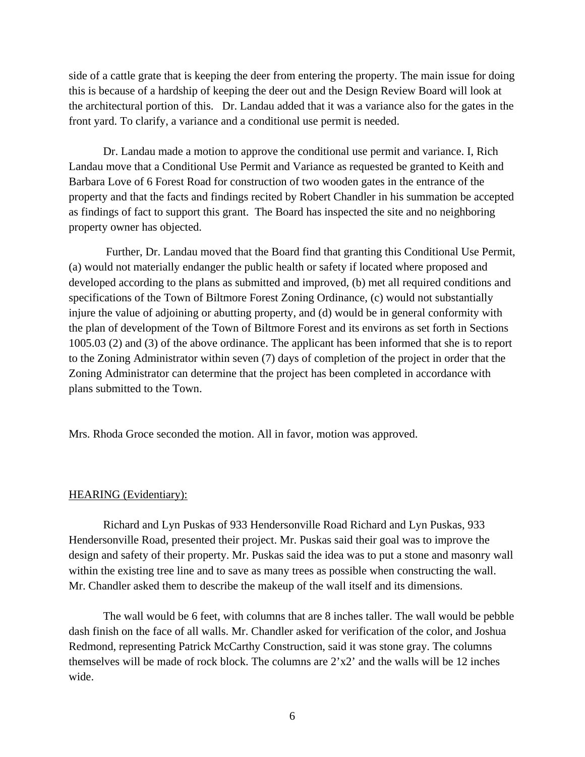side of a cattle grate that is keeping the deer from entering the property. The main issue for doing this is because of a hardship of keeping the deer out and the Design Review Board will look at the architectural portion of this. Dr. Landau added that it was a variance also for the gates in the front yard. To clarify, a variance and a conditional use permit is needed.

Dr. Landau made a motion to approve the conditional use permit and variance. I, Rich Landau move that a Conditional Use Permit and Variance as requested be granted to Keith and Barbara Love of 6 Forest Road for construction of two wooden gates in the entrance of the property and that the facts and findings recited by Robert Chandler in his summation be accepted as findings of fact to support this grant. The Board has inspected the site and no neighboring property owner has objected.

 Further, Dr. Landau moved that the Board find that granting this Conditional Use Permit, (a) would not materially endanger the public health or safety if located where proposed and developed according to the plans as submitted and improved, (b) met all required conditions and specifications of the Town of Biltmore Forest Zoning Ordinance, (c) would not substantially injure the value of adjoining or abutting property, and (d) would be in general conformity with the plan of development of the Town of Biltmore Forest and its environs as set forth in Sections 1005.03 (2) and (3) of the above ordinance. The applicant has been informed that she is to report to the Zoning Administrator within seven (7) days of completion of the project in order that the Zoning Administrator can determine that the project has been completed in accordance with plans submitted to the Town.

Mrs. Rhoda Groce seconded the motion. All in favor, motion was approved.

#### HEARING (Evidentiary):

 Richard and Lyn Puskas of 933 Hendersonville Road Richard and Lyn Puskas, 933 Hendersonville Road, presented their project. Mr. Puskas said their goal was to improve the design and safety of their property. Mr. Puskas said the idea was to put a stone and masonry wall within the existing tree line and to save as many trees as possible when constructing the wall. Mr. Chandler asked them to describe the makeup of the wall itself and its dimensions.

 The wall would be 6 feet, with columns that are 8 inches taller. The wall would be pebble dash finish on the face of all walls. Mr. Chandler asked for verification of the color, and Joshua Redmond, representing Patrick McCarthy Construction, said it was stone gray. The columns themselves will be made of rock block. The columns are  $2^{\prime}x2^{\prime}$  and the walls will be 12 inches wide.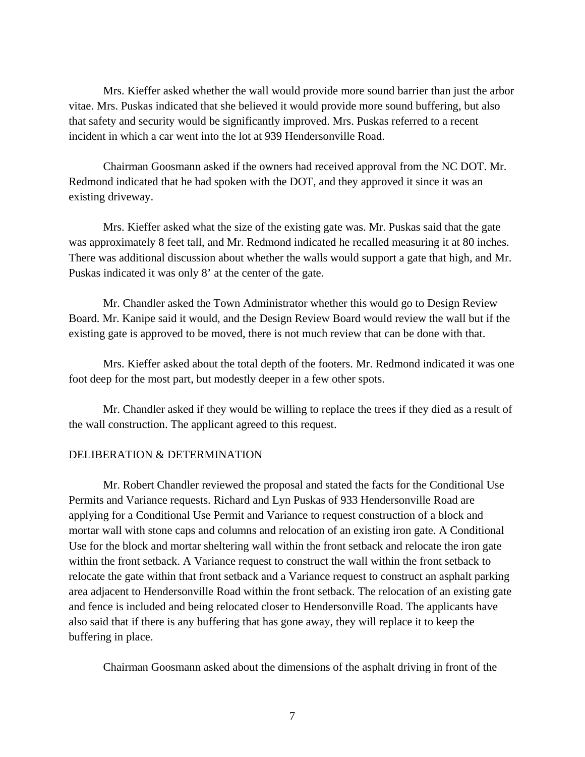Mrs. Kieffer asked whether the wall would provide more sound barrier than just the arbor vitae. Mrs. Puskas indicated that she believed it would provide more sound buffering, but also that safety and security would be significantly improved. Mrs. Puskas referred to a recent incident in which a car went into the lot at 939 Hendersonville Road.

 Chairman Goosmann asked if the owners had received approval from the NC DOT. Mr. Redmond indicated that he had spoken with the DOT, and they approved it since it was an existing driveway.

 Mrs. Kieffer asked what the size of the existing gate was. Mr. Puskas said that the gate was approximately 8 feet tall, and Mr. Redmond indicated he recalled measuring it at 80 inches. There was additional discussion about whether the walls would support a gate that high, and Mr. Puskas indicated it was only 8' at the center of the gate.

 Mr. Chandler asked the Town Administrator whether this would go to Design Review Board. Mr. Kanipe said it would, and the Design Review Board would review the wall but if the existing gate is approved to be moved, there is not much review that can be done with that.

 Mrs. Kieffer asked about the total depth of the footers. Mr. Redmond indicated it was one foot deep for the most part, but modestly deeper in a few other spots.

 Mr. Chandler asked if they would be willing to replace the trees if they died as a result of the wall construction. The applicant agreed to this request.

## DELIBERATION & DETERMINATION

 Mr. Robert Chandler reviewed the proposal and stated the facts for the Conditional Use Permits and Variance requests. Richard and Lyn Puskas of 933 Hendersonville Road are applying for a Conditional Use Permit and Variance to request construction of a block and mortar wall with stone caps and columns and relocation of an existing iron gate. A Conditional Use for the block and mortar sheltering wall within the front setback and relocate the iron gate within the front setback. A Variance request to construct the wall within the front setback to relocate the gate within that front setback and a Variance request to construct an asphalt parking area adjacent to Hendersonville Road within the front setback. The relocation of an existing gate and fence is included and being relocated closer to Hendersonville Road. The applicants have also said that if there is any buffering that has gone away, they will replace it to keep the buffering in place.

Chairman Goosmann asked about the dimensions of the asphalt driving in front of the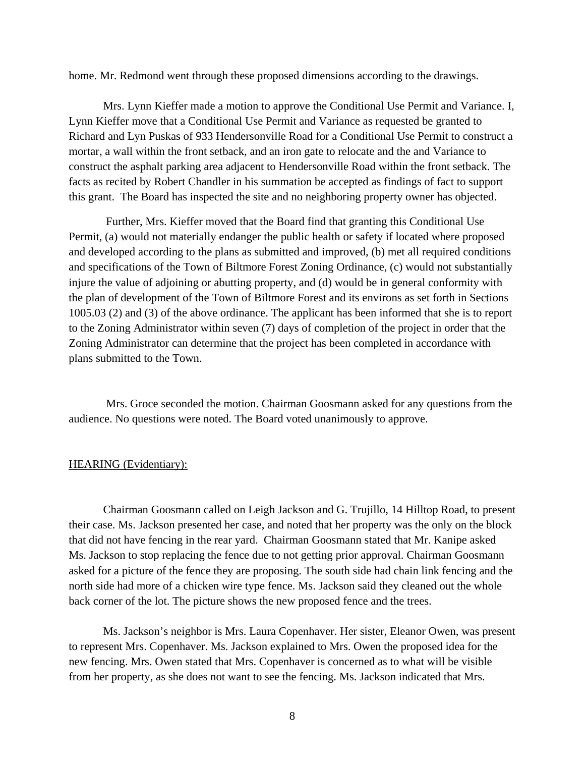home. Mr. Redmond went through these proposed dimensions according to the drawings.

Mrs. Lynn Kieffer made a motion to approve the Conditional Use Permit and Variance. I, Lynn Kieffer move that a Conditional Use Permit and Variance as requested be granted to Richard and Lyn Puskas of 933 Hendersonville Road for a Conditional Use Permit to construct a mortar, a wall within the front setback, and an iron gate to relocate and the and Variance to construct the asphalt parking area adjacent to Hendersonville Road within the front setback. The facts as recited by Robert Chandler in his summation be accepted as findings of fact to support this grant. The Board has inspected the site and no neighboring property owner has objected.

 Further, Mrs. Kieffer moved that the Board find that granting this Conditional Use Permit, (a) would not materially endanger the public health or safety if located where proposed and developed according to the plans as submitted and improved, (b) met all required conditions and specifications of the Town of Biltmore Forest Zoning Ordinance, (c) would not substantially injure the value of adjoining or abutting property, and (d) would be in general conformity with the plan of development of the Town of Biltmore Forest and its environs as set forth in Sections 1005.03 (2) and (3) of the above ordinance. The applicant has been informed that she is to report to the Zoning Administrator within seven (7) days of completion of the project in order that the Zoning Administrator can determine that the project has been completed in accordance with plans submitted to the Town.

 Mrs. Groce seconded the motion. Chairman Goosmann asked for any questions from the audience. No questions were noted. The Board voted unanimously to approve.

#### HEARING (Evidentiary):

 Chairman Goosmann called on Leigh Jackson and G. Trujillo, 14 Hilltop Road, to present their case. Ms. Jackson presented her case, and noted that her property was the only on the block that did not have fencing in the rear yard. Chairman Goosmann stated that Mr. Kanipe asked Ms. Jackson to stop replacing the fence due to not getting prior approval. Chairman Goosmann asked for a picture of the fence they are proposing. The south side had chain link fencing and the north side had more of a chicken wire type fence. Ms. Jackson said they cleaned out the whole back corner of the lot. The picture shows the new proposed fence and the trees.

 Ms. Jackson's neighbor is Mrs. Laura Copenhaver. Her sister, Eleanor Owen, was present to represent Mrs. Copenhaver. Ms. Jackson explained to Mrs. Owen the proposed idea for the new fencing. Mrs. Owen stated that Mrs. Copenhaver is concerned as to what will be visible from her property, as she does not want to see the fencing. Ms. Jackson indicated that Mrs.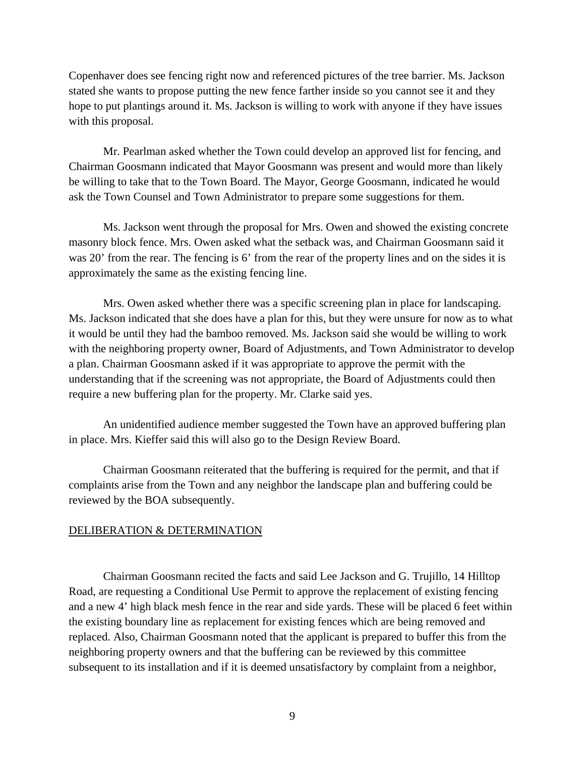Copenhaver does see fencing right now and referenced pictures of the tree barrier. Ms. Jackson stated she wants to propose putting the new fence farther inside so you cannot see it and they hope to put plantings around it. Ms. Jackson is willing to work with anyone if they have issues with this proposal.

 Mr. Pearlman asked whether the Town could develop an approved list for fencing, and Chairman Goosmann indicated that Mayor Goosmann was present and would more than likely be willing to take that to the Town Board. The Mayor, George Goosmann, indicated he would ask the Town Counsel and Town Administrator to prepare some suggestions for them.

 Ms. Jackson went through the proposal for Mrs. Owen and showed the existing concrete masonry block fence. Mrs. Owen asked what the setback was, and Chairman Goosmann said it was 20' from the rear. The fencing is 6' from the rear of the property lines and on the sides it is approximately the same as the existing fencing line.

 Mrs. Owen asked whether there was a specific screening plan in place for landscaping. Ms. Jackson indicated that she does have a plan for this, but they were unsure for now as to what it would be until they had the bamboo removed. Ms. Jackson said she would be willing to work with the neighboring property owner, Board of Adjustments, and Town Administrator to develop a plan. Chairman Goosmann asked if it was appropriate to approve the permit with the understanding that if the screening was not appropriate, the Board of Adjustments could then require a new buffering plan for the property. Mr. Clarke said yes.

 An unidentified audience member suggested the Town have an approved buffering plan in place. Mrs. Kieffer said this will also go to the Design Review Board.

 Chairman Goosmann reiterated that the buffering is required for the permit, and that if complaints arise from the Town and any neighbor the landscape plan and buffering could be reviewed by the BOA subsequently.

## DELIBERATION & DETERMINATION

 Chairman Goosmann recited the facts and said Lee Jackson and G. Trujillo, 14 Hilltop Road, are requesting a Conditional Use Permit to approve the replacement of existing fencing and a new 4' high black mesh fence in the rear and side yards. These will be placed 6 feet within the existing boundary line as replacement for existing fences which are being removed and replaced. Also, Chairman Goosmann noted that the applicant is prepared to buffer this from the neighboring property owners and that the buffering can be reviewed by this committee subsequent to its installation and if it is deemed unsatisfactory by complaint from a neighbor,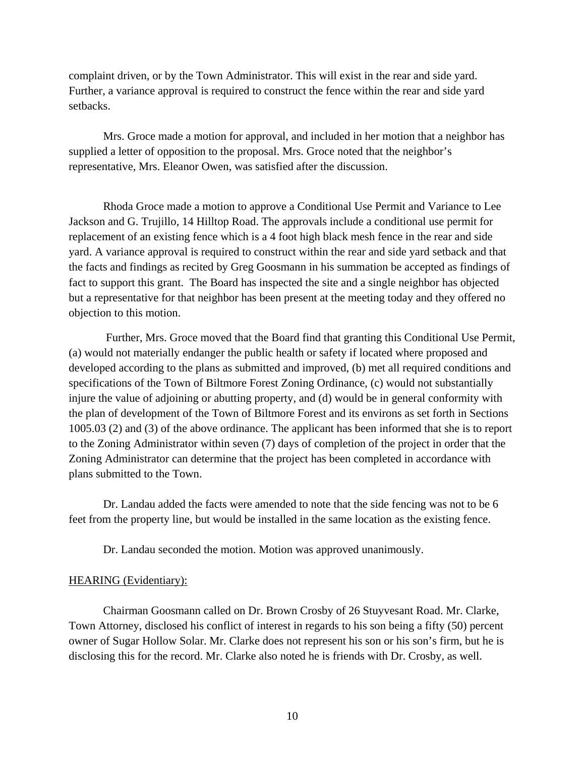complaint driven, or by the Town Administrator. This will exist in the rear and side yard. Further, a variance approval is required to construct the fence within the rear and side yard setbacks.

 Mrs. Groce made a motion for approval, and included in her motion that a neighbor has supplied a letter of opposition to the proposal. Mrs. Groce noted that the neighbor's representative, Mrs. Eleanor Owen, was satisfied after the discussion.

Rhoda Groce made a motion to approve a Conditional Use Permit and Variance to Lee Jackson and G. Trujillo, 14 Hilltop Road. The approvals include a conditional use permit for replacement of an existing fence which is a 4 foot high black mesh fence in the rear and side yard. A variance approval is required to construct within the rear and side yard setback and that the facts and findings as recited by Greg Goosmann in his summation be accepted as findings of fact to support this grant. The Board has inspected the site and a single neighbor has objected but a representative for that neighbor has been present at the meeting today and they offered no objection to this motion.

 Further, Mrs. Groce moved that the Board find that granting this Conditional Use Permit, (a) would not materially endanger the public health or safety if located where proposed and developed according to the plans as submitted and improved, (b) met all required conditions and specifications of the Town of Biltmore Forest Zoning Ordinance, (c) would not substantially injure the value of adjoining or abutting property, and (d) would be in general conformity with the plan of development of the Town of Biltmore Forest and its environs as set forth in Sections 1005.03 (2) and (3) of the above ordinance. The applicant has been informed that she is to report to the Zoning Administrator within seven (7) days of completion of the project in order that the Zoning Administrator can determine that the project has been completed in accordance with plans submitted to the Town.

 Dr. Landau added the facts were amended to note that the side fencing was not to be 6 feet from the property line, but would be installed in the same location as the existing fence.

Dr. Landau seconded the motion. Motion was approved unanimously.

## HEARING (Evidentiary):

 Chairman Goosmann called on Dr. Brown Crosby of 26 Stuyvesant Road. Mr. Clarke, Town Attorney, disclosed his conflict of interest in regards to his son being a fifty (50) percent owner of Sugar Hollow Solar. Mr. Clarke does not represent his son or his son's firm, but he is disclosing this for the record. Mr. Clarke also noted he is friends with Dr. Crosby, as well.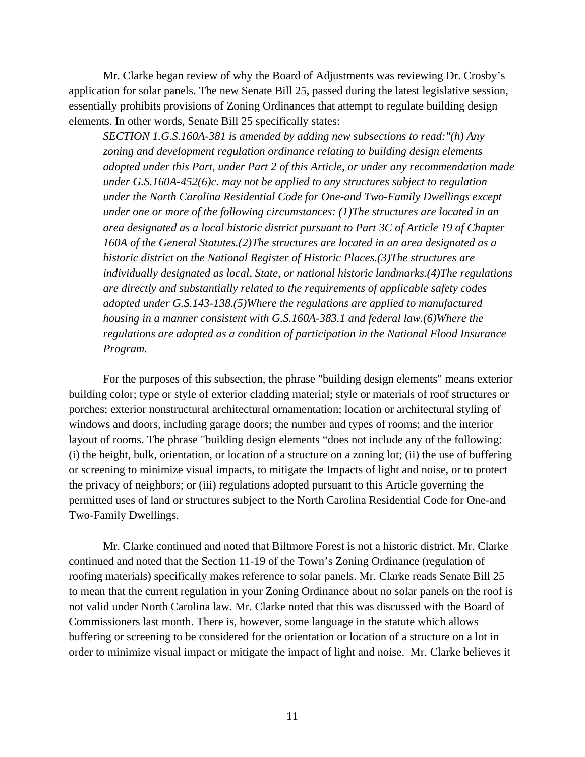Mr. Clarke began review of why the Board of Adjustments was reviewing Dr. Crosby's application for solar panels. The new Senate Bill 25, passed during the latest legislative session, essentially prohibits provisions of Zoning Ordinances that attempt to regulate building design elements. In other words, Senate Bill 25 specifically states:

*SECTION 1.G.S.160A-381 is amended by adding new subsections to read:"(h) Any zoning and development regulation ordinance relating to building design elements adopted under this Part, under Part 2 of this Article, or under any recommendation made under G.S.160A-452(6)c. may not be applied to any structures subject to regulation under the North Carolina Residential Code for One-and Two-Family Dwellings except under one or more of the following circumstances: (1)The structures are located in an area designated as a local historic district pursuant to Part 3C of Article 19 of Chapter 160A of the General Statutes.(2)The structures are located in an area designated as a historic district on the National Register of Historic Places.(3)The structures are individually designated as local, State, or national historic landmarks.(4)The regulations are directly and substantially related to the requirements of applicable safety codes adopted under G.S.143-138.(5)Where the regulations are applied to manufactured housing in a manner consistent with G.S.160A-383.1 and federal law.(6)Where the regulations are adopted as a condition of participation in the National Flood Insurance Program.*

 For the purposes of this subsection, the phrase "building design elements" means exterior building color; type or style of exterior cladding material; style or materials of roof structures or porches; exterior nonstructural architectural ornamentation; location or architectural styling of windows and doors, including garage doors; the number and types of rooms; and the interior layout of rooms. The phrase "building design elements "does not include any of the following: (i) the height, bulk, orientation, or location of a structure on a zoning lot; (ii) the use of buffering or screening to minimize visual impacts, to mitigate the Impacts of light and noise, or to protect the privacy of neighbors; or (iii) regulations adopted pursuant to this Article governing the permitted uses of land or structures subject to the North Carolina Residential Code for One-and Two-Family Dwellings.

 Mr. Clarke continued and noted that Biltmore Forest is not a historic district. Mr. Clarke continued and noted that the Section 11-19 of the Town's Zoning Ordinance (regulation of roofing materials) specifically makes reference to solar panels. Mr. Clarke reads Senate Bill 25 to mean that the current regulation in your Zoning Ordinance about no solar panels on the roof is not valid under North Carolina law. Mr. Clarke noted that this was discussed with the Board of Commissioners last month. There is, however, some language in the statute which allows buffering or screening to be considered for the orientation or location of a structure on a lot in order to minimize visual impact or mitigate the impact of light and noise. Mr. Clarke believes it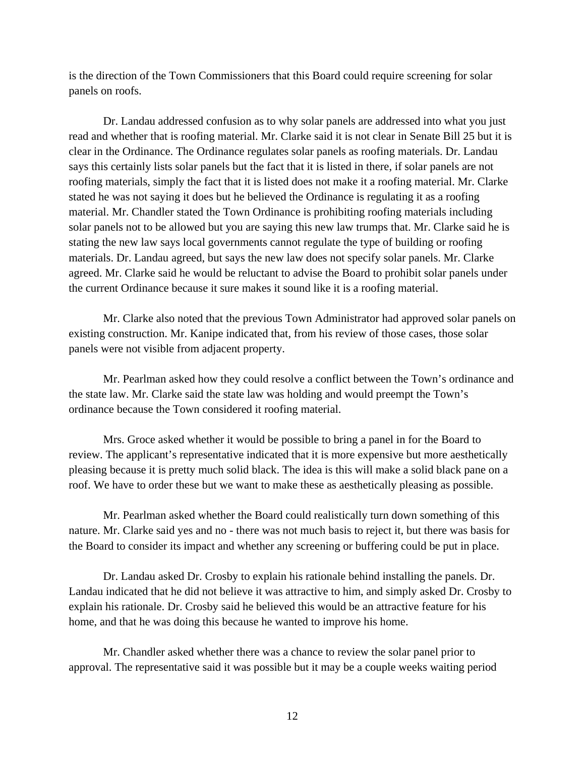is the direction of the Town Commissioners that this Board could require screening for solar panels on roofs.

 Dr. Landau addressed confusion as to why solar panels are addressed into what you just read and whether that is roofing material. Mr. Clarke said it is not clear in Senate Bill 25 but it is clear in the Ordinance. The Ordinance regulates solar panels as roofing materials. Dr. Landau says this certainly lists solar panels but the fact that it is listed in there, if solar panels are not roofing materials, simply the fact that it is listed does not make it a roofing material. Mr. Clarke stated he was not saying it does but he believed the Ordinance is regulating it as a roofing material. Mr. Chandler stated the Town Ordinance is prohibiting roofing materials including solar panels not to be allowed but you are saying this new law trumps that. Mr. Clarke said he is stating the new law says local governments cannot regulate the type of building or roofing materials. Dr. Landau agreed, but says the new law does not specify solar panels. Mr. Clarke agreed. Mr. Clarke said he would be reluctant to advise the Board to prohibit solar panels under the current Ordinance because it sure makes it sound like it is a roofing material.

 Mr. Clarke also noted that the previous Town Administrator had approved solar panels on existing construction. Mr. Kanipe indicated that, from his review of those cases, those solar panels were not visible from adjacent property.

 Mr. Pearlman asked how they could resolve a conflict between the Town's ordinance and the state law. Mr. Clarke said the state law was holding and would preempt the Town's ordinance because the Town considered it roofing material.

 Mrs. Groce asked whether it would be possible to bring a panel in for the Board to review. The applicant's representative indicated that it is more expensive but more aesthetically pleasing because it is pretty much solid black. The idea is this will make a solid black pane on a roof. We have to order these but we want to make these as aesthetically pleasing as possible.

 Mr. Pearlman asked whether the Board could realistically turn down something of this nature. Mr. Clarke said yes and no - there was not much basis to reject it, but there was basis for the Board to consider its impact and whether any screening or buffering could be put in place.

 Dr. Landau asked Dr. Crosby to explain his rationale behind installing the panels. Dr. Landau indicated that he did not believe it was attractive to him, and simply asked Dr. Crosby to explain his rationale. Dr. Crosby said he believed this would be an attractive feature for his home, and that he was doing this because he wanted to improve his home.

 Mr. Chandler asked whether there was a chance to review the solar panel prior to approval. The representative said it was possible but it may be a couple weeks waiting period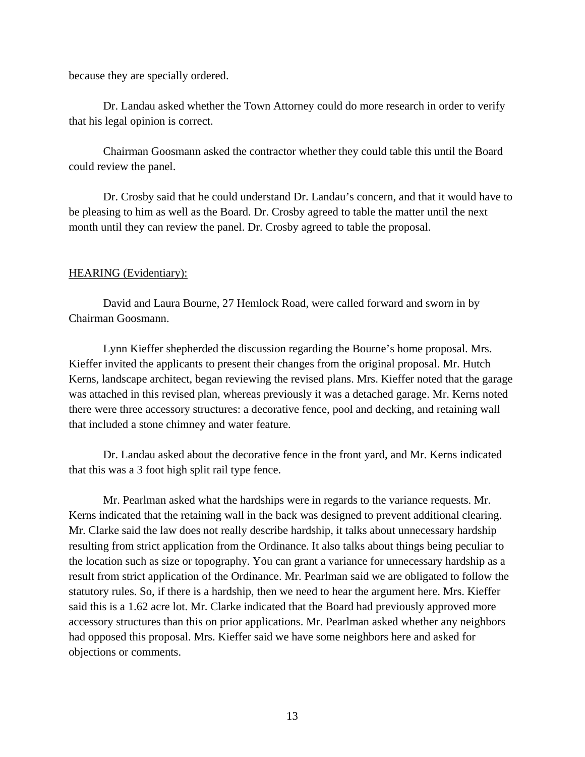because they are specially ordered.

 Dr. Landau asked whether the Town Attorney could do more research in order to verify that his legal opinion is correct.

 Chairman Goosmann asked the contractor whether they could table this until the Board could review the panel.

 Dr. Crosby said that he could understand Dr. Landau's concern, and that it would have to be pleasing to him as well as the Board. Dr. Crosby agreed to table the matter until the next month until they can review the panel. Dr. Crosby agreed to table the proposal.

## HEARING (Evidentiary):

 David and Laura Bourne, 27 Hemlock Road, were called forward and sworn in by Chairman Goosmann.

 Lynn Kieffer shepherded the discussion regarding the Bourne's home proposal. Mrs. Kieffer invited the applicants to present their changes from the original proposal. Mr. Hutch Kerns, landscape architect, began reviewing the revised plans. Mrs. Kieffer noted that the garage was attached in this revised plan, whereas previously it was a detached garage. Mr. Kerns noted there were three accessory structures: a decorative fence, pool and decking, and retaining wall that included a stone chimney and water feature.

 Dr. Landau asked about the decorative fence in the front yard, and Mr. Kerns indicated that this was a 3 foot high split rail type fence.

 Mr. Pearlman asked what the hardships were in regards to the variance requests. Mr. Kerns indicated that the retaining wall in the back was designed to prevent additional clearing. Mr. Clarke said the law does not really describe hardship, it talks about unnecessary hardship resulting from strict application from the Ordinance. It also talks about things being peculiar to the location such as size or topography. You can grant a variance for unnecessary hardship as a result from strict application of the Ordinance. Mr. Pearlman said we are obligated to follow the statutory rules. So, if there is a hardship, then we need to hear the argument here. Mrs. Kieffer said this is a 1.62 acre lot. Mr. Clarke indicated that the Board had previously approved more accessory structures than this on prior applications. Mr. Pearlman asked whether any neighbors had opposed this proposal. Mrs. Kieffer said we have some neighbors here and asked for objections or comments.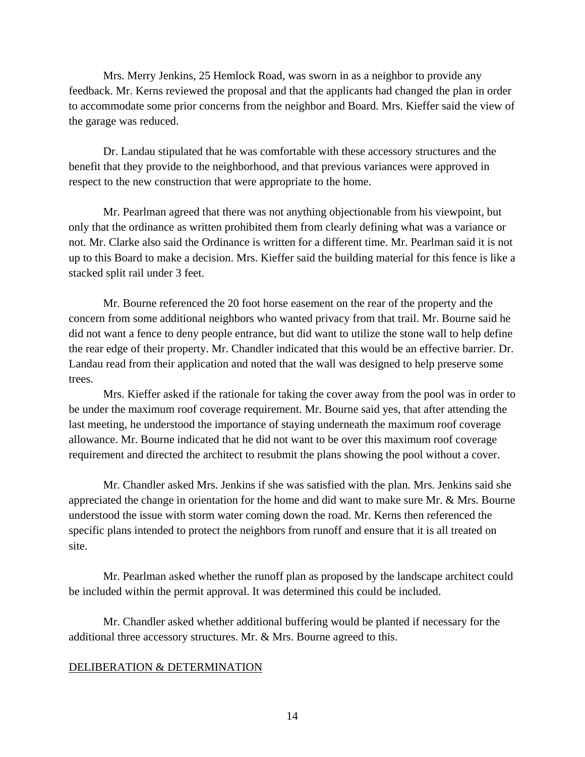Mrs. Merry Jenkins, 25 Hemlock Road, was sworn in as a neighbor to provide any feedback. Mr. Kerns reviewed the proposal and that the applicants had changed the plan in order to accommodate some prior concerns from the neighbor and Board. Mrs. Kieffer said the view of the garage was reduced.

 Dr. Landau stipulated that he was comfortable with these accessory structures and the benefit that they provide to the neighborhood, and that previous variances were approved in respect to the new construction that were appropriate to the home.

 Mr. Pearlman agreed that there was not anything objectionable from his viewpoint, but only that the ordinance as written prohibited them from clearly defining what was a variance or not. Mr. Clarke also said the Ordinance is written for a different time. Mr. Pearlman said it is not up to this Board to make a decision. Mrs. Kieffer said the building material for this fence is like a stacked split rail under 3 feet.

 Mr. Bourne referenced the 20 foot horse easement on the rear of the property and the concern from some additional neighbors who wanted privacy from that trail. Mr. Bourne said he did not want a fence to deny people entrance, but did want to utilize the stone wall to help define the rear edge of their property. Mr. Chandler indicated that this would be an effective barrier. Dr. Landau read from their application and noted that the wall was designed to help preserve some trees.

 Mrs. Kieffer asked if the rationale for taking the cover away from the pool was in order to be under the maximum roof coverage requirement. Mr. Bourne said yes, that after attending the last meeting, he understood the importance of staying underneath the maximum roof coverage allowance. Mr. Bourne indicated that he did not want to be over this maximum roof coverage requirement and directed the architect to resubmit the plans showing the pool without a cover.

 Mr. Chandler asked Mrs. Jenkins if she was satisfied with the plan. Mrs. Jenkins said she appreciated the change in orientation for the home and did want to make sure Mr. & Mrs. Bourne understood the issue with storm water coming down the road. Mr. Kerns then referenced the specific plans intended to protect the neighbors from runoff and ensure that it is all treated on site.

 Mr. Pearlman asked whether the runoff plan as proposed by the landscape architect could be included within the permit approval. It was determined this could be included.

 Mr. Chandler asked whether additional buffering would be planted if necessary for the additional three accessory structures. Mr. & Mrs. Bourne agreed to this.

# DELIBERATION & DETERMINATION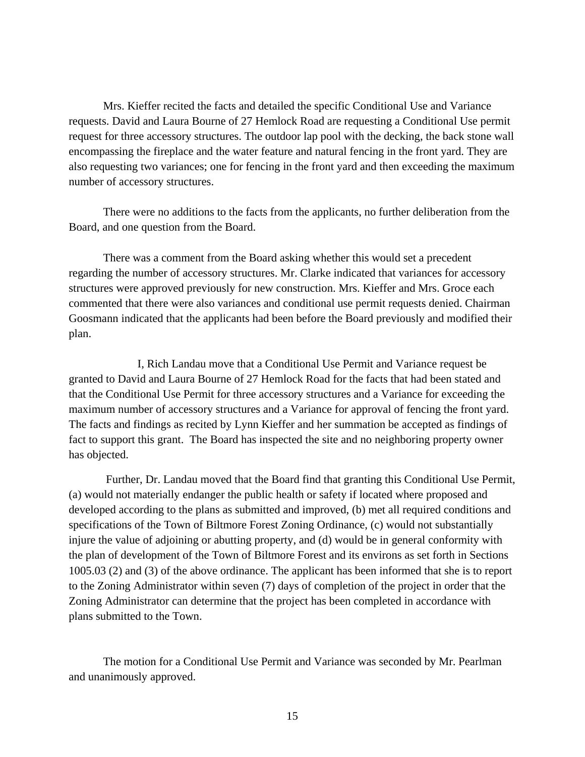Mrs. Kieffer recited the facts and detailed the specific Conditional Use and Variance requests. David and Laura Bourne of 27 Hemlock Road are requesting a Conditional Use permit request for three accessory structures. The outdoor lap pool with the decking, the back stone wall encompassing the fireplace and the water feature and natural fencing in the front yard. They are also requesting two variances; one for fencing in the front yard and then exceeding the maximum number of accessory structures.

 There were no additions to the facts from the applicants, no further deliberation from the Board, and one question from the Board.

 There was a comment from the Board asking whether this would set a precedent regarding the number of accessory structures. Mr. Clarke indicated that variances for accessory structures were approved previously for new construction. Mrs. Kieffer and Mrs. Groce each commented that there were also variances and conditional use permit requests denied. Chairman Goosmann indicated that the applicants had been before the Board previously and modified their plan.

 I, Rich Landau move that a Conditional Use Permit and Variance request be granted to David and Laura Bourne of 27 Hemlock Road for the facts that had been stated and that the Conditional Use Permit for three accessory structures and a Variance for exceeding the maximum number of accessory structures and a Variance for approval of fencing the front yard. The facts and findings as recited by Lynn Kieffer and her summation be accepted as findings of fact to support this grant. The Board has inspected the site and no neighboring property owner has objected.

 Further, Dr. Landau moved that the Board find that granting this Conditional Use Permit, (a) would not materially endanger the public health or safety if located where proposed and developed according to the plans as submitted and improved, (b) met all required conditions and specifications of the Town of Biltmore Forest Zoning Ordinance, (c) would not substantially injure the value of adjoining or abutting property, and (d) would be in general conformity with the plan of development of the Town of Biltmore Forest and its environs as set forth in Sections 1005.03 (2) and (3) of the above ordinance. The applicant has been informed that she is to report to the Zoning Administrator within seven (7) days of completion of the project in order that the Zoning Administrator can determine that the project has been completed in accordance with plans submitted to the Town.

The motion for a Conditional Use Permit and Variance was seconded by Mr. Pearlman and unanimously approved.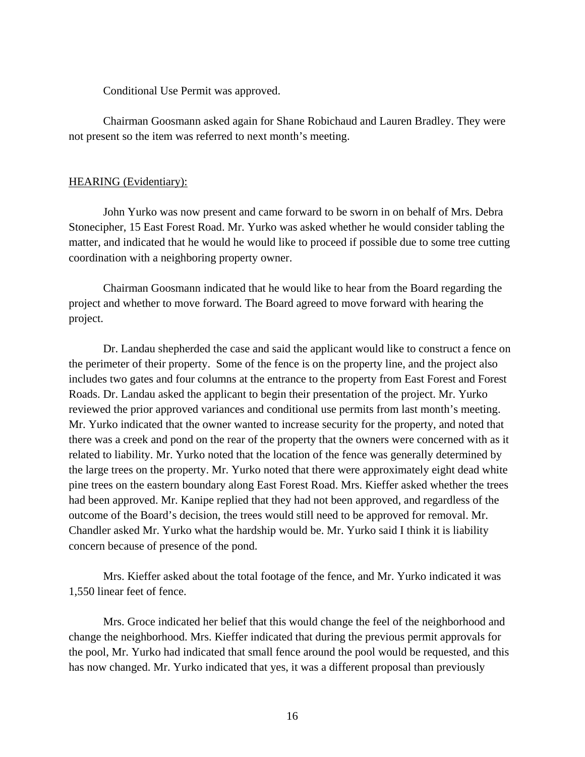Conditional Use Permit was approved.

 Chairman Goosmann asked again for Shane Robichaud and Lauren Bradley. They were not present so the item was referred to next month's meeting.

## HEARING (Evidentiary):

 John Yurko was now present and came forward to be sworn in on behalf of Mrs. Debra Stonecipher, 15 East Forest Road. Mr. Yurko was asked whether he would consider tabling the matter, and indicated that he would he would like to proceed if possible due to some tree cutting coordination with a neighboring property owner.

 Chairman Goosmann indicated that he would like to hear from the Board regarding the project and whether to move forward. The Board agreed to move forward with hearing the project.

 Dr. Landau shepherded the case and said the applicant would like to construct a fence on the perimeter of their property. Some of the fence is on the property line, and the project also includes two gates and four columns at the entrance to the property from East Forest and Forest Roads. Dr. Landau asked the applicant to begin their presentation of the project. Mr. Yurko reviewed the prior approved variances and conditional use permits from last month's meeting. Mr. Yurko indicated that the owner wanted to increase security for the property, and noted that there was a creek and pond on the rear of the property that the owners were concerned with as it related to liability. Mr. Yurko noted that the location of the fence was generally determined by the large trees on the property. Mr. Yurko noted that there were approximately eight dead white pine trees on the eastern boundary along East Forest Road. Mrs. Kieffer asked whether the trees had been approved. Mr. Kanipe replied that they had not been approved, and regardless of the outcome of the Board's decision, the trees would still need to be approved for removal. Mr. Chandler asked Mr. Yurko what the hardship would be. Mr. Yurko said I think it is liability concern because of presence of the pond.

 Mrs. Kieffer asked about the total footage of the fence, and Mr. Yurko indicated it was 1,550 linear feet of fence.

 Mrs. Groce indicated her belief that this would change the feel of the neighborhood and change the neighborhood. Mrs. Kieffer indicated that during the previous permit approvals for the pool, Mr. Yurko had indicated that small fence around the pool would be requested, and this has now changed. Mr. Yurko indicated that yes, it was a different proposal than previously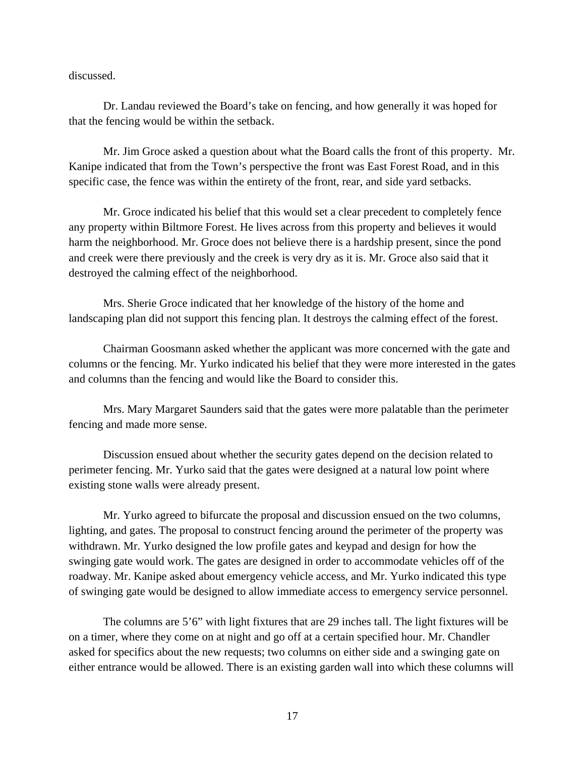discussed.

 Dr. Landau reviewed the Board's take on fencing, and how generally it was hoped for that the fencing would be within the setback.

 Mr. Jim Groce asked a question about what the Board calls the front of this property. Mr. Kanipe indicated that from the Town's perspective the front was East Forest Road, and in this specific case, the fence was within the entirety of the front, rear, and side yard setbacks.

 Mr. Groce indicated his belief that this would set a clear precedent to completely fence any property within Biltmore Forest. He lives across from this property and believes it would harm the neighborhood. Mr. Groce does not believe there is a hardship present, since the pond and creek were there previously and the creek is very dry as it is. Mr. Groce also said that it destroyed the calming effect of the neighborhood.

 Mrs. Sherie Groce indicated that her knowledge of the history of the home and landscaping plan did not support this fencing plan. It destroys the calming effect of the forest.

 Chairman Goosmann asked whether the applicant was more concerned with the gate and columns or the fencing. Mr. Yurko indicated his belief that they were more interested in the gates and columns than the fencing and would like the Board to consider this.

 Mrs. Mary Margaret Saunders said that the gates were more palatable than the perimeter fencing and made more sense.

 Discussion ensued about whether the security gates depend on the decision related to perimeter fencing. Mr. Yurko said that the gates were designed at a natural low point where existing stone walls were already present.

 Mr. Yurko agreed to bifurcate the proposal and discussion ensued on the two columns, lighting, and gates. The proposal to construct fencing around the perimeter of the property was withdrawn. Mr. Yurko designed the low profile gates and keypad and design for how the swinging gate would work. The gates are designed in order to accommodate vehicles off of the roadway. Mr. Kanipe asked about emergency vehicle access, and Mr. Yurko indicated this type of swinging gate would be designed to allow immediate access to emergency service personnel.

 The columns are 5'6" with light fixtures that are 29 inches tall. The light fixtures will be on a timer, where they come on at night and go off at a certain specified hour. Mr. Chandler asked for specifics about the new requests; two columns on either side and a swinging gate on either entrance would be allowed. There is an existing garden wall into which these columns will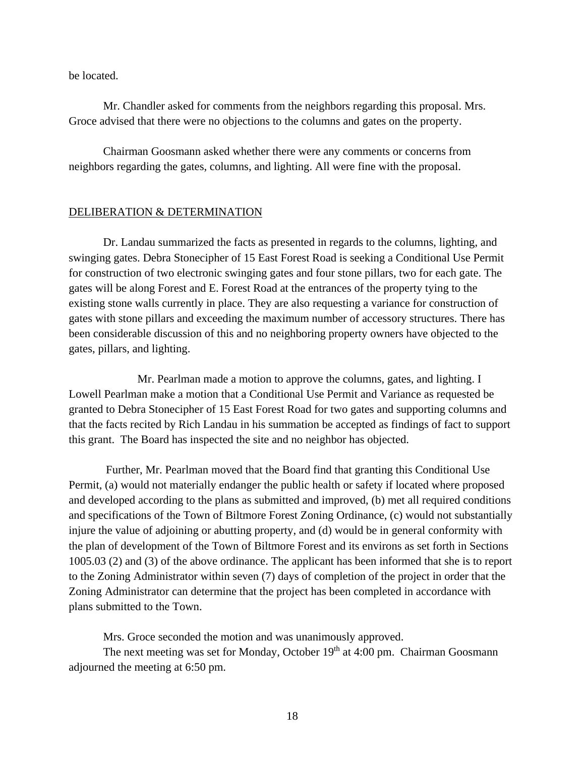be located.

 Mr. Chandler asked for comments from the neighbors regarding this proposal. Mrs. Groce advised that there were no objections to the columns and gates on the property.

 Chairman Goosmann asked whether there were any comments or concerns from neighbors regarding the gates, columns, and lighting. All were fine with the proposal.

## DELIBERATION & DETERMINATION

 Dr. Landau summarized the facts as presented in regards to the columns, lighting, and swinging gates. Debra Stonecipher of 15 East Forest Road is seeking a Conditional Use Permit for construction of two electronic swinging gates and four stone pillars, two for each gate. The gates will be along Forest and E. Forest Road at the entrances of the property tying to the existing stone walls currently in place. They are also requesting a variance for construction of gates with stone pillars and exceeding the maximum number of accessory structures. There has been considerable discussion of this and no neighboring property owners have objected to the gates, pillars, and lighting.

 Mr. Pearlman made a motion to approve the columns, gates, and lighting. I Lowell Pearlman make a motion that a Conditional Use Permit and Variance as requested be granted to Debra Stonecipher of 15 East Forest Road for two gates and supporting columns and that the facts recited by Rich Landau in his summation be accepted as findings of fact to support this grant. The Board has inspected the site and no neighbor has objected.

 Further, Mr. Pearlman moved that the Board find that granting this Conditional Use Permit, (a) would not materially endanger the public health or safety if located where proposed and developed according to the plans as submitted and improved, (b) met all required conditions and specifications of the Town of Biltmore Forest Zoning Ordinance, (c) would not substantially injure the value of adjoining or abutting property, and (d) would be in general conformity with the plan of development of the Town of Biltmore Forest and its environs as set forth in Sections 1005.03 (2) and (3) of the above ordinance. The applicant has been informed that she is to report to the Zoning Administrator within seven (7) days of completion of the project in order that the Zoning Administrator can determine that the project has been completed in accordance with plans submitted to the Town.

Mrs. Groce seconded the motion and was unanimously approved.

The next meeting was set for Monday, October  $19<sup>th</sup>$  at 4:00 pm. Chairman Goosmann adjourned the meeting at 6:50 pm.